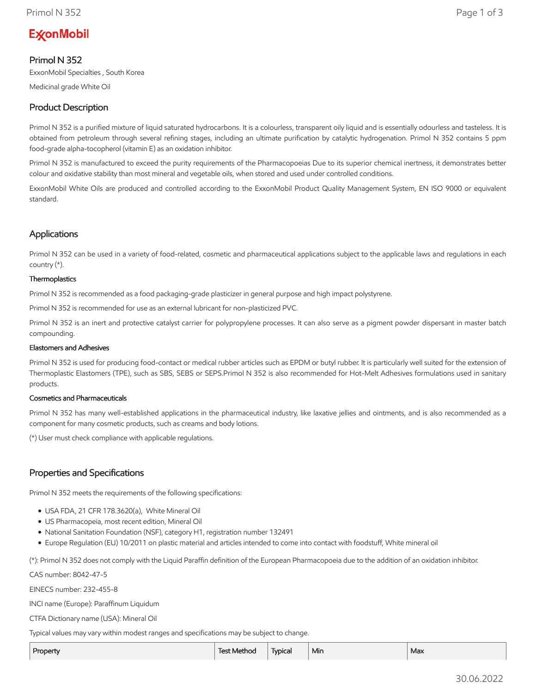# **ExconMobil**

## Primol N 352

ExxonMobil Specialties , South Korea

Medicinal grade White Oil

# Product Description

Primol N 352 is a purified mixture of liquid saturated hydrocarbons. It is a colourless, transparent oily liquid and is essentially odourless and tasteless. It is obtained from petroleum through several refining stages, including an ultimate purification by catalytic hydrogenation. Primol N 352 contains 5 ppm food-grade alpha-tocopherol (vitamin E) as an oxidation inhibitor.

Primol N 352 is manufactured to exceed the purity requirements of the Pharmacopoeias Due to its superior chemical inertness, it demonstrates better colour and oxidative stability than most mineral and vegetable oils, when stored and used under controlled conditions.

ExxonMobil White Oils are produced and controlled according to the ExxonMobil Product Quality Management System, EN ISO 9000 or equivalent standard.

## Applications

Primol N 352 can be used in a variety of food-related, cosmetic and pharmaceutical applications subject to the applicable laws and regulations in each country (\*).

#### **Thermoplastics**

Primol N 352 is recommended as a food packaging-grade plasticizer in general purpose and high impact polystyrene.

Primol N 352 is recommended for use as an external lubricant for non-plasticized PVC.

Primol N 352 is an inert and protective catalyst carrier for polypropylene processes. It can also serve as a pigment powder dispersant in master batch compounding.

#### Elastomers and Adhesives

Primol N 352 is used for producing food-contact or medical rubber articles such as EPDM or butyl rubber. It is particularly well suited for the extension of Thermoplastic Elastomers (TPE), such as SBS, SEBS or SEPS.Primol N 352 is also recommended for Hot-Melt Adhesives formulations used in sanitary products.

#### Cosmetics and Pharmaceuticals

Primol N 352 has many well-established applications in the pharmaceutical industry, like laxative jellies and ointments, and is also recommended as a component for many cosmetic products, such as creams and body lotions.

(\*) User must check compliance with applicable regulations.

## Properties and Specifications

Primol N 352 meets the requirements of the following specifications:

- USA FDA, 21 CFR 178.3620(a), White Mineral Oil
- US Pharmacopeia, most recent edition, Mineral Oil
- National Sanitation Foundation (NSF), category H1, registration number 132491
- Europe Regulation (EU) 10/2011 on plastic material and articles intended to come into contact with foodstuff, White mineral oil

(\*): Primol N 352 does not comply with the Liquid Paraffin definition of the European Pharmacopoeia due to the addition of an oxidation inhibitor.

CAS number: 8042-47-5

EINECS number: 232-455-8

INCI name (Europe): Paraffinum Liquidum

CTFA Dictionary name (USA): Mineral Oil

Typical values may vary within modest ranges and specifications may be subject to change.

| Property | Test Method | Typical | Min | Max |
|----------|-------------|---------|-----|-----|
|          |             |         |     |     |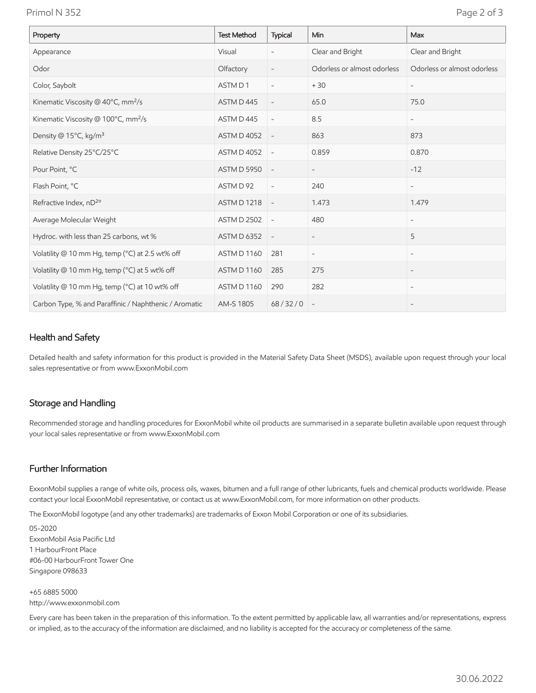Primol N 352 Page 2 of 3

| Property                                              | <b>Test Method</b> | Typical                  | Min                         | Max                         |
|-------------------------------------------------------|--------------------|--------------------------|-----------------------------|-----------------------------|
| Appearance                                            | Visual             | $\overline{\phantom{0}}$ | Clear and Bright            | Clear and Bright            |
| Odor                                                  | Olfactory          | $\overline{\phantom{a}}$ | Odorless or almost odorless | Odorless or almost odorless |
| Color, Saybolt                                        | ASTM D1            | $\overline{\phantom{a}}$ | $+30$                       |                             |
| Kinematic Viscosity @ 40°C, mm <sup>2</sup> /s        | ASTM D445          | $\overline{\phantom{a}}$ | 65.0                        | 75.0                        |
| Kinematic Viscosity @ 100°C, mm <sup>2</sup> /s       | ASTM D445          | $\overline{\phantom{a}}$ | 8.5                         | $\overline{\phantom{a}}$    |
| Density @ 15°C, kg/m <sup>3</sup>                     | <b>ASTM D 4052</b> | $\overline{\phantom{a}}$ | 863                         | 873                         |
| Relative Density 25°C/25°C                            | <b>ASTM D 4052</b> | $\overline{\phantom{a}}$ | 0.859                       | 0.870                       |
| Pour Point, °C                                        | <b>ASTM D 5950</b> | $\overline{\phantom{a}}$ | $\overline{\phantom{a}}$    | $-12$                       |
| Flash Point, °C                                       | ASTM D 92          | $\overline{\phantom{a}}$ | 240                         | $\overline{\phantom{a}}$    |
| Refractive Index, nD <sup>2o</sup>                    | <b>ASTM D 1218</b> | $\overline{\phantom{a}}$ | 1.473                       | 1.479                       |
| Average Molecular Weight                              | <b>ASTM D 2502</b> | $\overline{\phantom{a}}$ | 480                         | $\overline{\phantom{a}}$    |
| Hydroc. with less than 25 carbons, wt %               | <b>ASTM D 6352</b> | $\overline{\phantom{a}}$ | $\overline{\phantom{a}}$    | 5                           |
| Volatility @ 10 mm Hg, temp (°C) at 2.5 wt% off       | ASTM D 1160        | 281                      | $\overline{\phantom{a}}$    | $\overline{\phantom{0}}$    |
| Volatility @ 10 mm Hg, temp (°C) at 5 wt% off         | ASTM D 1160        | 285                      | 275                         |                             |
| Volatility @ 10 mm Hg, temp (°C) at 10 wt% off        | ASTM D 1160        | 290                      | 282                         | $\overline{\phantom{0}}$    |
| Carbon Type, % and Paraffinic / Naphthenic / Aromatic | AM-S 1805          | 68/32/0                  |                             |                             |

## Health and Safety

Detailed health and safety information for this product is provided in the Material Safety Data Sheet (MSDS), available upon request through your local sales representative or from www.ExxonMobil.com

#### Storage and Handling

Recommended storage and handling procedures for ExxonMobil white oil products are summarised in a separate bulletin available upon request through your local sales representative or from www.ExxonMobil.com

### Further Information

ExxonMobil supplies a range of white oils, process oils, waxes, bitumen and a full range of other lubricants, fuels and chemical products worldwide. Please contact your local ExxonMobil representative, or contact us at www.ExxonMobil.com, for more information on other products.

The ExxonMobil logotype (and any other trademarks) are trademarks of Exxon Mobil Corporation or one of its subsidiaries.

05-2020 ExxonMobil Asia Pacific Ltd 1 HarbourFront Place #06-00 HarbourFront Tower One Singapore 098633

+65 6885 5000 http://www.exxonmobil.com

Every care has been taken in the preparation of this information. To the extent permitted by applicable law, all warranties and/or representations, express or implied, as to the accuracy of the information are disclaimed, and no liability is accepted for the accuracy or completeness of the same.